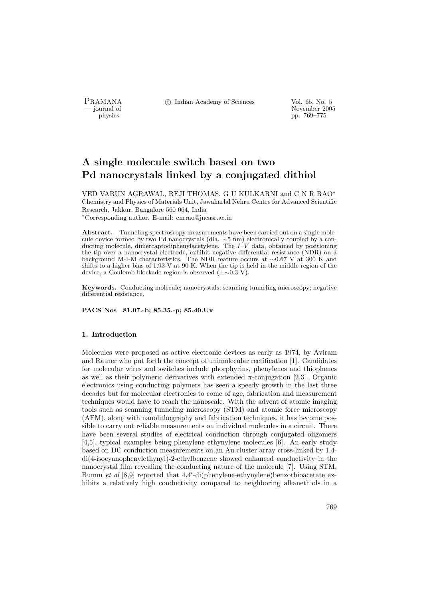PRAMANA <sup>C</sup> Indian Academy of Sciences Vol. 65, No. 5<br>
— journal of

physics<br>
and the contract of the November 2005<br>
pp. 769–775<br>
pp. 769–775 physics pp. 769–775

# A single molecule switch based on two Pd nanocrystals linked by a conjugated dithiol

VED VARUN AGRAWAL, REJI THOMAS, G U KULKARNI and C N R RAO<sup>∗</sup> Chemistry and Physics of Materials Unit, Jawaharlal Nehru Centre for Advanced Scientific Research, Jakkur, Bangalore 560 064, India <sup>∗</sup>Corresponding author. E-mail: cnrrao@jncasr.ac.in

Abstract. Tunneling spectroscopy measurements have been carried out on a single molecule device formed by two Pd nanocrystals (dia. ∼5 nm) electronically coupled by a conducting molecule, dimercaptodiphenylacetylene. The  $I-V$  data, obtained by positioning the tip over a nanocrystal electrode, exhibit negative differential resistance (NDR) on a background M-I-M characteristics. The NDR feature occurs at ∼0.67 V at 300 K and shifts to a higher bias of 1.93 V at 90 K. When the tip is held in the middle region of the device, a Coulomb blockade region is observed (±∼0.3 V).

Keywords. Conducting molecule; nanocrystals; scanning tunneling microscopy; negative differential resistance.

PACS Nos 81.07.-b; 85.35.-p; 85.40.Ux

## 1. Introduction

Molecules were proposed as active electronic devices as early as 1974, by Aviram and Ratner who put forth the concept of unimolecular rectification [1]. Candidates for molecular wires and switches include phorphyrins, phenylenes and thiophenes as well as their polymeric derivatives with extended  $\pi$ -conjugation [2,3]. Organic electronics using conducting polymers has seen a speedy growth in the last three decades but for molecular electronics to come of age, fabrication and measurement techniques would have to reach the nanoscale. With the advent of atomic imaging tools such as scanning tunneling microscopy (STM) and atomic force microscopy (AFM), along with nanolithography and fabrication techniques, it has become possible to carry out reliable measurements on individual molecules in a circuit. There have been several studies of electrical conduction through conjugated oligomers [4,5], typical examples being phenylene ethynylene molecules [6]. An early study based on DC conduction measurements on an Au cluster array cross-linked by 1,4 di(4-isocyanophenylethynyl)-2-ethylbenzene showed enhanced conductivity in the nanocrystal film revealing the conducting nature of the molecule [7]. Using STM, Bumm et al [8,9] reported that  $4.4'$ -di(phenylene-ethynylene)benzothioacetate exhibits a relatively high conductivity compared to neighboring alkanethiols in a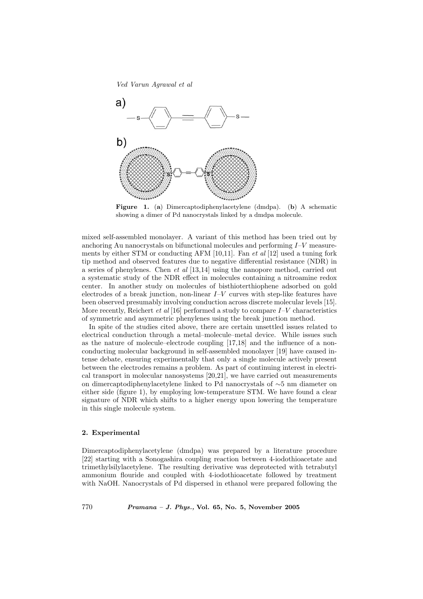Ved Varun Agrawal et al



Figure 1. (a) Dimercaptodiphenylacetylene (dmdpa). (b) A schematic showing a dimer of Pd nanocrystals linked by a dmdpa molecule.

mixed self-assembled monolayer. A variant of this method has been tried out by anchoring Au nanocrystals on bifunctional molecules and performing  $I-V$  measurements by either STM or conducting AFM  $[10,11]$ . Fan *et al*  $[12]$  used a tuning fork tip method and observed features due to negative differential resistance (NDR) in a series of phenylenes. Chen et al [13,14] using the nanopore method, carried out a systematic study of the NDR effect in molecules containing a nitroamine redox center. In another study on molecules of bisthioterthiophene adsorbed on gold electrodes of a break junction, non-linear  $I-V$  curves with step-like features have been observed presumably involving conduction across discrete molecular levels [15]. More recently, Reichert *et al* [16] performed a study to compare  $I-V$  characteristics of symmetric and asymmetric phenylenes using the break junction method.

In spite of the studies cited above, there are certain unsettled issues related to electrical conduction through a metal–molecule–metal device. While issues such as the nature of molecule–electrode coupling [17,18] and the influence of a nonconducting molecular background in self-assembled monolayer [19] have caused intense debate, ensuring experimentally that only a single molecule actively present between the electrodes remains a problem. As part of continuing interest in electrical transport in molecular nanosystems [20,21], we have carried out measurements on dimercaptodiphenylacetylene linked to Pd nanocrystals of ∼5 nm diameter on either side (figure 1), by employing low-temperature STM. We have found a clear signature of NDR which shifts to a higher energy upon lowering the temperature in this single molecule system.

## 2. Experimental

Dimercaptodiphenylacetylene (dmdpa) was prepared by a literature procedure [22] starting with a Sonogashira coupling reaction between 4-iodothioacetate and trimethylsilylacetylene. The resulting derivative was deprotected with tetrabutyl ammonium flouride and coupled with 4-iodothioacetate followed by treatment with NaOH. Nanocrystals of Pd dispersed in ethanol were prepared following the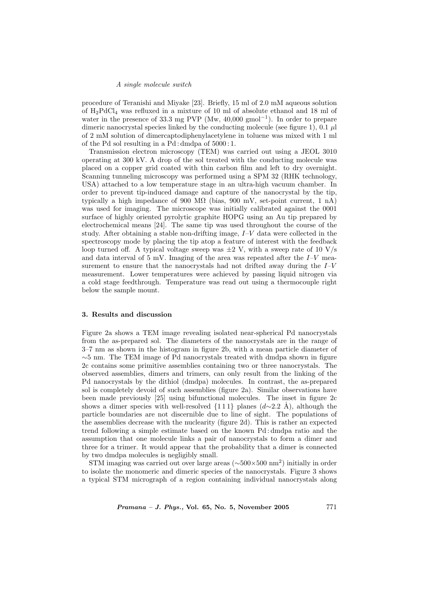#### A single molecule switch

procedure of Teranishi and Miyake [23]. Briefly, 15 ml of 2.0 mM aqueous solution of  $H_2PdCl_4$  was refluxed in a mixture of 10 ml of absolute ethanol and 18 ml of water in the presence of 33.3 mg PVP (Mw, 40,000 gmol<sup>-1</sup>). In order to prepare dimeric nanocrystal species linked by the conducting molecule (see figure 1), 0.1  $\mu$ l of 2 mM solution of dimercaptodiphenylacetylene in toluene was mixed with 1 ml of the Pd sol resulting in a Pd : dmdpa of 5000 : 1.

Transmission electron microscopy (TEM) was carried out using a JEOL 3010 operating at 300 kV. A drop of the sol treated with the conducting molecule was placed on a copper grid coated with thin carbon film and left to dry overnight. Scanning tunneling microscopy was performed using a SPM 32 (RHK technology, USA) attached to a low temperature stage in an ultra-high vacuum chamber. In order to prevent tip-induced damage and capture of the nanocrystal by the tip, typically a high impedance of 900 M $\Omega$  (bias, 900 mV, set-point current, 1 nA) was used for imaging. The microscope was initially calibrated against the 0001 surface of highly oriented pyrolytic graphite HOPG using an Au tip prepared by electrochemical means [24]. The same tip was used throughout the course of the study. After obtaining a stable non-drifting image,  $I-V$  data were collected in the spectroscopy mode by placing the tip atop a feature of interest with the feedback loop turned off. A typical voltage sweep was  $\pm 2$  V, with a sweep rate of 10 V/s and data interval of 5 mV. Imaging of the area was repeated after the  $I-V$  measurement to ensure that the nanocrystals had not drifted away during the  $I-V$ measurement. Lower temperatures were achieved by passing liquid nitrogen via a cold stage feedthrough. Temperature was read out using a thermocouple right below the sample mount.

#### 3. Results and discussion

Figure 2a shows a TEM image revealing isolated near-spherical Pd nanocrystals from the as-prepared sol. The diameters of the nanocrystals are in the range of 3–7 nm as shown in the histogram in figure 2b, with a mean particle diameter of  $\sim$ 5 nm. The TEM image of Pd nanocrystals treated with dmdpa shown in figure 2c contains some primitive assemblies containing two or three nanocrystals. The observed assemblies, dimers and trimers, can only result from the linking of the Pd nanocrystals by the dithiol (dmdpa) molecules. In contrast, the as-prepared sol is completely devoid of such assemblies (figure 2a). Similar observations have been made previously [25] using bifunctional molecules. The inset in figure 2c shows a dimer species with well-resolved  $\{1\,1\}$  planes  $(d\sim 2.2 \text{ Å})$ , although the particle boundaries are not discernible due to line of sight. The populations of the assemblies decrease with the nuclearity (figure 2d). This is rather an expected trend following a simple estimate based on the known Pd : dmdpa ratio and the assumption that one molecule links a pair of nanocrystals to form a dimer and three for a trimer. It would appear that the probability that a dimer is connected by two dmdpa molecules is negligibly small.

STM imaging was carried out over large areas (~500×500 nm<sup>2</sup>) initially in order to isolate the monomeric and dimeric species of the nanocrystals. Figure 3 shows a typical STM micrograph of a region containing individual nanocrystals along

*Pramana – J. Phys.*, Vol. 65, No. 5, November 2005  $771$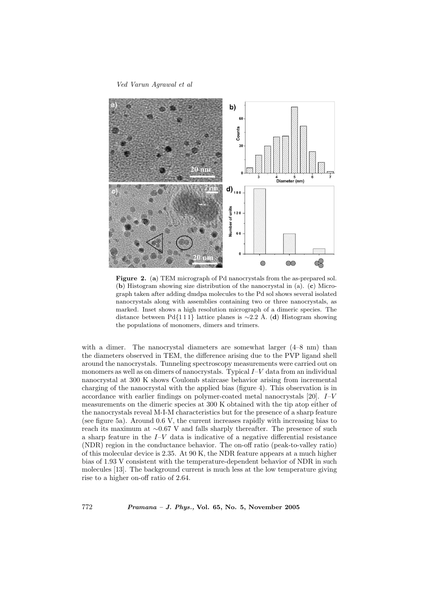#### Ved Varun Agrawal et al



Figure 2. (a) TEM micrograph of Pd nanocrystals from the as-prepared sol. (b) Histogram showing size distribution of the nanocrystal in (a). (c) Micrograph taken after adding dmdpa molecules to the Pd sol shows several isolated nanocrystals along with assemblies containing two or three nanocrystals, as marked. Inset shows a high resolution micrograph of a dimeric species. The distance between Pd{111} lattice planes is ~2.2 Å. (d) Histogram showing the populations of monomers, dimers and trimers.

with a dimer. The nanocrystal diameters are somewhat larger  $(4–8 \text{ nm})$  than the diameters observed in TEM, the difference arising due to the PVP ligand shell around the nanocrystals. Tunneling spectroscopy measurements were carried out on monomers as well as on dimers of nanocrystals. Typical I–V data from an individual nanocrystal at 300 K shows Coulomb staircase behavior arising from incremental charging of the nanocrystal with the applied bias (figure 4). This observation is in accordance with earlier findings on polymer-coated metal nanocrystals [20]. I–V measurements on the dimeric species at 300 K obtained with the tip atop either of the nanocrystals reveal M-I-M characteristics but for the presence of a sharp feature (see figure 5a). Around 0.6 V, the current increases rapidly with increasing bias to reach its maximum at ∼0.67 V and falls sharply thereafter. The presence of such a sharp feature in the  $I-V$  data is indicative of a negative differential resistance (NDR) region in the conductance behavior. The on-off ratio (peak-to-valley ratio) of this molecular device is 2.35. At 90 K, the NDR feature appears at a much higher bias of 1.93 V consistent with the temperature-dependent behavior of NDR in such molecules [13]. The background current is much less at the low temperature giving rise to a higher on-off ratio of 2.64.

772 Pramana – J. Phys., Vol. 65, No. 5, November 2005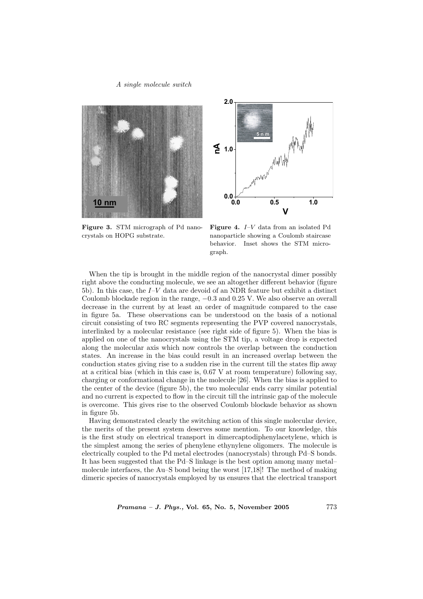### A single molecule switch





Figure 3. STM micrograph of Pd nanocrystals on HOPG substrate.

Figure 4. I–V data from an isolated Pd nanoparticle showing a Coulomb staircase behavior. Inset shows the STM micrograph.

When the tip is brought in the middle region of the nanocrystal dimer possibly right above the conducting molecule, we see an altogether different behavior (figure 5b). In this case, the I–V data are devoid of an NDR feature but exhibit a distinct Coulomb blockade region in the range,  $-0.3$  and 0.25 V. We also observe an overall decrease in the current by at least an order of magnitude compared to the case in figure 5a. These observations can be understood on the basis of a notional circuit consisting of two RC segments representing the PVP covered nanocrystals, interlinked by a molecular resistance (see right side of figure 5). When the bias is applied on one of the nanocrystals using the STM tip, a voltage drop is expected along the molecular axis which now controls the overlap between the conduction states. An increase in the bias could result in an increased overlap between the conduction states giving rise to a sudden rise in the current till the states flip away at a critical bias (which in this case is, 0.67 V at room temperature) following say, charging or conformational change in the molecule [26]. When the bias is applied to the center of the device (figure 5b), the two molecular ends carry similar potential and no current is expected to flow in the circuit till the intrinsic gap of the molecule is overcome. This gives rise to the observed Coulomb blockade behavior as shown in figure 5b.

Having demonstrated clearly the switching action of this single molecular device, the merits of the present system deserves some mention. To our knowledge, this is the first study on electrical transport in dimercaptodiphenylacetylene, which is the simplest among the series of phenylene ethynylene oligomers. The molecule is electrically coupled to the Pd metal electrodes (nanocrystals) through Pd–S bonds. It has been suggested that the Pd–S linkage is the best option among many metal– molecule interfaces, the Au–S bond being the worst [17,18]! The method of making dimeric species of nanocrystals employed by us ensures that the electrical transport

 $Pramana - J. Phys., Vol. 65, No. 5, November 2005$  773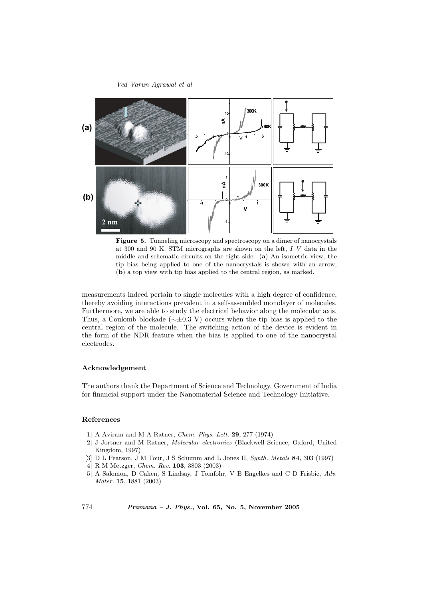#### Ved Varun Agrawal et al



Figure 5. Tunneling microscopy and spectroscopy on a dimer of nanocrystals at 300 and 90 K. STM micrographs are shown on the left,  $I-V$  data in the middle and schematic circuits on the right side. (a) An isometric view, the tip bias being applied to one of the nanocrystals is shown with an arrow, (b) a top view with tip bias applied to the central region, as marked.

measurements indeed pertain to single molecules with a high degree of confidence, thereby avoiding interactions prevalent in a self-assembled monolayer of molecules. Furthermore, we are able to study the electrical behavior along the molecular axis. Thus, a Coulomb blockade ( $\sim \pm 0.3$  V) occurs when the tip bias is applied to the central region of the molecule. The switching action of the device is evident in the form of the NDR feature when the bias is applied to one of the nanocrystal electrodes.

#### Acknowledgement

The authors thank the Department of Science and Technology, Government of India for financial support under the Nanomaterial Science and Technology Initiative.

# References

- [1] A Aviram and M A Ratner, Chem. Phys. Lett. 29, 277 (1974)
- [2] J Jortner and M Ratner, Molecular electronics (Blackwell Science, Oxford, United Kingdom, 1997)
- [3] D L Pearson, J M Tour, J S Schumm and L Jones II, Synth. Metals 84, 303 (1997)
- [4] R M Metzger, Chem. Rev. 103, 3803 (2003)
- [5] A Salomon, D Cahen, S Lindsay, J Tomfohr, V B Engelkes and C D Frisbie, Adv. Mater. 15, 1881 (2003)